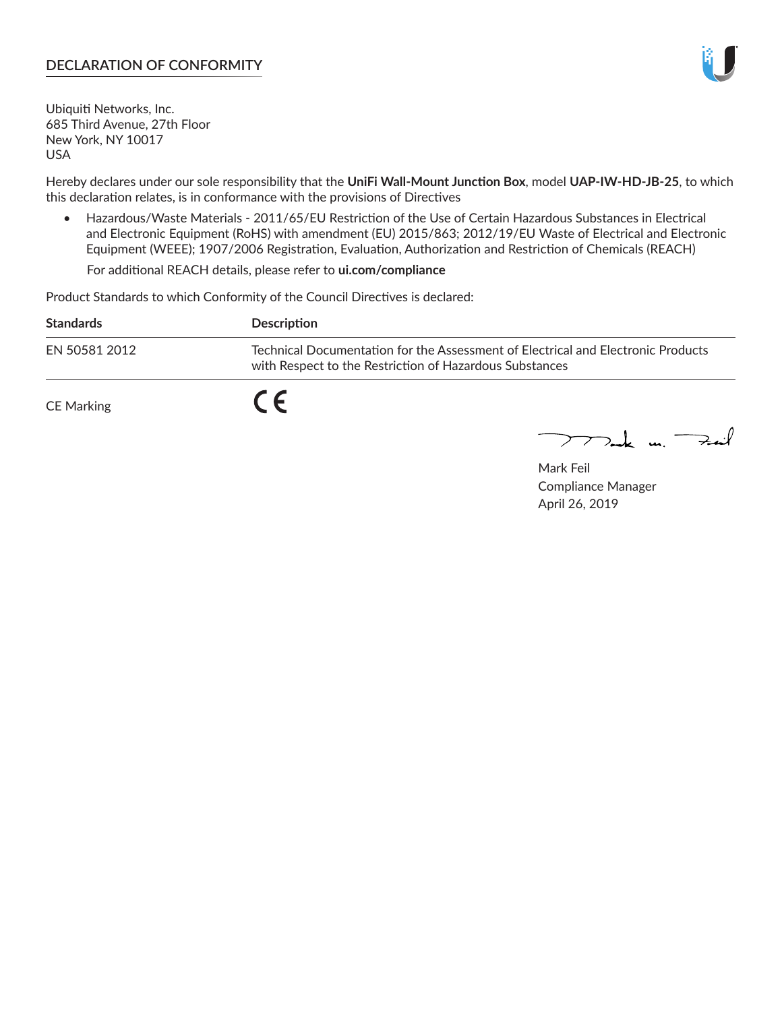# **DECLARATION OF CONFORMITY**



Ubiquiti Networks, Inc. 685 Third Avenue, 27th Floor New York, NY 10017 USA

Hereby declares under our sole responsibility that the **UniFi Wall-Mount Junction Box**, model **UAP-IW-HD-JB-25**, to which this declaration relates, is in conformance with the provisions of Directives

• Hazardous/Waste Materials - 2011/65/EU Restriction of the Use of Certain Hazardous Substances in Electrical and Electronic Equipment (RoHS) with amendment (EU) 2015/863; 2012/19/EU Waste of Electrical and Electronic Equipment (WEEE); 1907/2006 Registration, Evaluation, Authorization and Restriction of Chemicals (REACH)

For additional REACH details, please refer to **ui.com/compliance**

Product Standards to which Conformity of the Council Directives is declared:

| <b>Standards</b> | <b>Description</b>                                                                                                                          |
|------------------|---------------------------------------------------------------------------------------------------------------------------------------------|
| EN 50581 2012    | Technical Documentation for the Assessment of Electrical and Electronic Products<br>with Respect to the Restriction of Hazardous Substances |
| CE Marking       |                                                                                                                                             |

 $\sum_{n=1}^{\infty}$  un  $\sum_{n=1}^{\infty}$ 

Mark Feil Compliance Manager April 26, 2019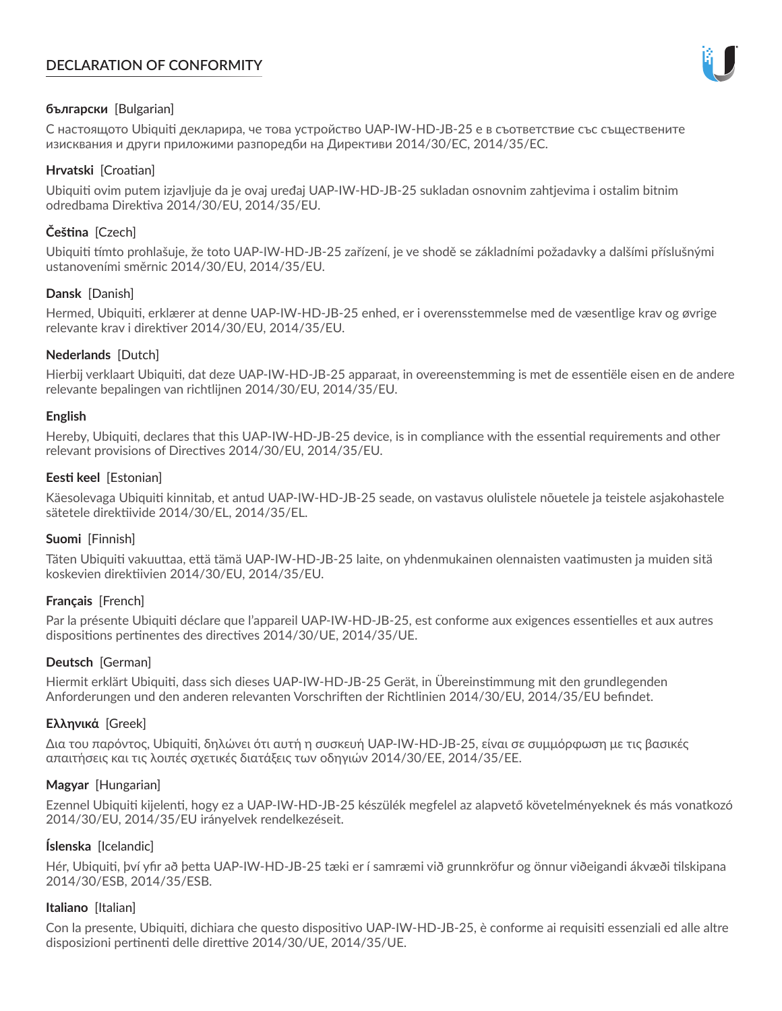# **DECLARATION OF CONFORMITY**



# **български** [Bulgarian]

С настоящото Ubiquiti декларира, че това устройство UAP-IW-HD-JB-25 е в съответствие със съществените изисквания и други приложими разпоредби на Директиви 2014/30/ЕС, 2014/35/ЕС.

## **Hrvatski** [Croatian]

Ubiquiti ovim putem izjavljuje da je ovaj uređaj UAP-IW-HD-JB-25 sukladan osnovnim zahtjevima i ostalim bitnim odredbama Direktiva 2014/30/EU, 2014/35/EU.

# **Čeština** [Czech]

Ubiquiti tímto prohlašuje, že toto UAP-IW-HD-JB-25 zařízení, je ve shodě se základními požadavky a dalšími příslušnými ustanoveními směrnic 2014/30/EU, 2014/35/EU.

# **Dansk** [Danish]

Hermed, Ubiquiti, erklærer at denne UAP-IW-HD-JB-25 enhed, er i overensstemmelse med de væsentlige krav og øvrige relevante krav i direktiver 2014/30/EU, 2014/35/EU.

# **Nederlands** [Dutch]

Hierbij verklaart Ubiquiti, dat deze UAP-IW-HD-JB-25 apparaat, in overeenstemming is met de essentiële eisen en de andere relevante bepalingen van richtlijnen 2014/30/EU, 2014/35/EU.

## **English**

Hereby, Ubiquiti, declares that this UAP-IW-HD-JB-25 device, is in compliance with the essential requirements and other relevant provisions of Directives 2014/30/EU, 2014/35/EU.

# **Eesti keel** [Estonian]

Käesolevaga Ubiquiti kinnitab, et antud UAP-IW-HD-JB-25 seade, on vastavus olulistele nõuetele ja teistele asjakohastele sätetele direktiivide 2014/30/EL, 2014/35/EL.

## **Suomi** [Finnish]

Täten Ubiquiti vakuuttaa, että tämä UAP-IW-HD-JB-25 laite, on yhdenmukainen olennaisten vaatimusten ja muiden sitä koskevien direktiivien 2014/30/EU, 2014/35/EU.

## **Français** [French]

Par la présente Ubiquiti déclare que l'appareil UAP-IW-HD-JB-25, est conforme aux exigences essentielles et aux autres dispositions pertinentes des directives 2014/30/UE, 2014/35/UE.

# **Deutsch** [German]

Hiermit erklärt Ubiquiti, dass sich dieses UAP-IW-HD-JB-25 Gerät, in Übereinstimmung mit den grundlegenden Anforderungen und den anderen relevanten Vorschriften der Richtlinien 2014/30/EU, 2014/35/EU befindet.

# **Ελληνικά** [Greek]

Δια του παρόντος, Ubiquiti, δηλώνει ότι αυτή η συσκευή UAP-IW-HD-JB-25, είναι σε συμμόρφωση με τις βασικές απαιτήσεις και τις λοιπές σχετικές διατάξεις των οδηγιών 2014/30/EE, 2014/35/EE.

## **Magyar** [Hungarian]

Ezennel Ubiquiti kijelenti, hogy ez a UAP-IW-HD-JB-25 készülék megfelel az alapvető követelményeknek és más vonatkozó 2014/30/EU, 2014/35/EU irányelvek rendelkezéseit.

## **Íslenska** [Icelandic]

Hér, Ubiquiti, því yfir að þetta UAP-IW-HD-JB-25 tæki er í samræmi við grunnkröfur og önnur viðeigandi ákvæði tilskipana 2014/30/ESB, 2014/35/ESB.

## **Italiano** [Italian]

Con la presente, Ubiquiti, dichiara che questo dispositivo UAP-IW-HD-JB-25, è conforme ai requisiti essenziali ed alle altre disposizioni pertinenti delle direttive 2014/30/UE, 2014/35/UE.